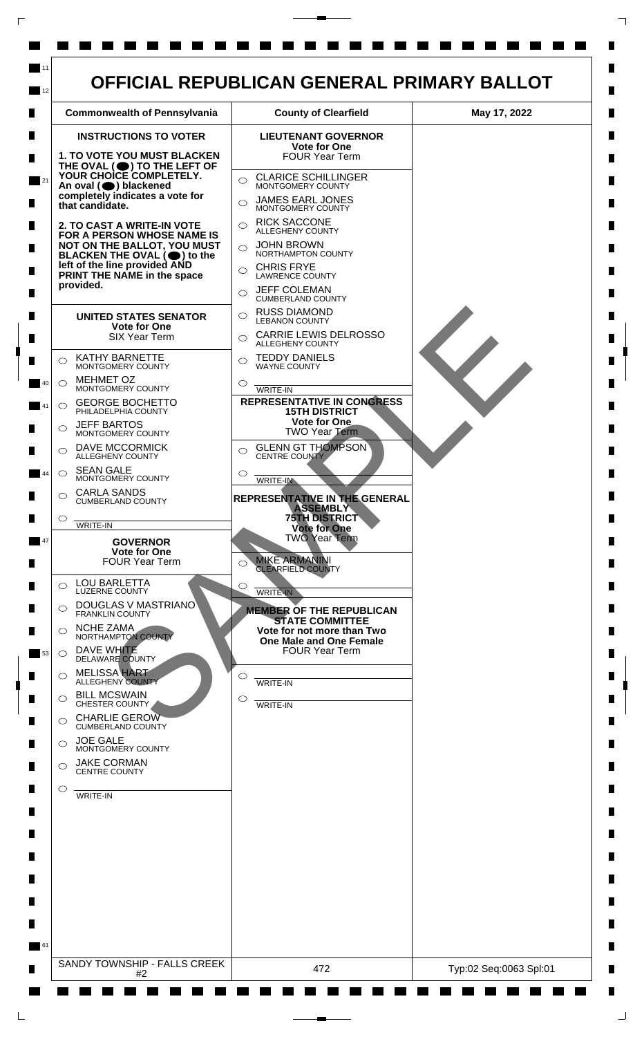

 $\Box$